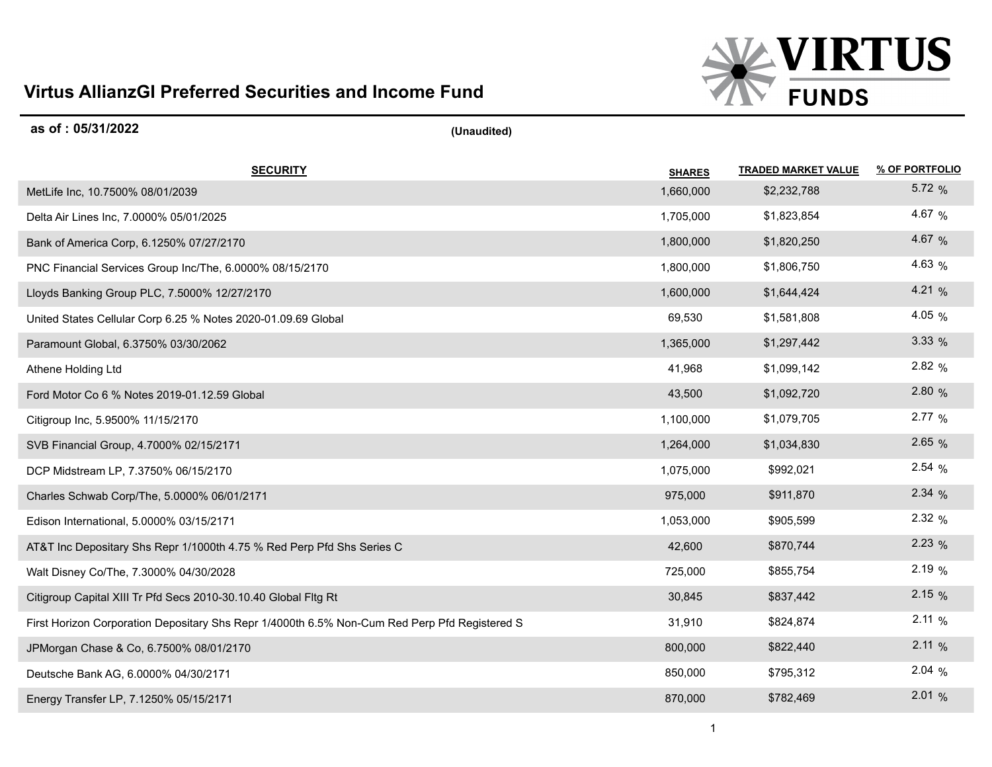## **Virtus AllianzGI Preferred Securities and Income Fund**



| as of: 05/31/2022                                                                             | (Unaudited)   |                            |                |
|-----------------------------------------------------------------------------------------------|---------------|----------------------------|----------------|
| <b>SECURITY</b>                                                                               | <b>SHARES</b> | <b>TRADED MARKET VALUE</b> | % OF PORTFOLIO |
| MetLife Inc, 10.7500% 08/01/2039                                                              | 1,660,000     | \$2,232,788                | 5.72 $%$       |
| Delta Air Lines Inc, 7.0000% 05/01/2025                                                       | 1,705,000     | \$1,823,854                | 4.67 %         |
| Bank of America Corp, 6.1250% 07/27/2170                                                      | 1,800,000     | \$1,820,250                | 4.67 %         |
| PNC Financial Services Group Inc/The, 6.0000% 08/15/2170                                      | 1,800,000     | \$1,806,750                | 4.63 $%$       |
| Lloyds Banking Group PLC, 7.5000% 12/27/2170                                                  | 1,600,000     | \$1,644,424                | 4.21 $%$       |
| United States Cellular Corp 6.25 % Notes 2020-01.09.69 Global                                 | 69,530        | \$1,581,808                | 4.05 $%$       |
| Paramount Global, 6.3750% 03/30/2062                                                          | 1,365,000     | \$1,297,442                | 3.33%          |
| Athene Holding Ltd                                                                            | 41,968        | \$1,099,142                | 2.82%          |
| Ford Motor Co 6 % Notes 2019-01.12.59 Global                                                  | 43,500        | \$1,092,720                | 2.80 %         |
| Citigroup Inc, 5.9500% 11/15/2170                                                             | 1,100,000     | \$1,079,705                | 2.77%          |
| SVB Financial Group, 4.7000% 02/15/2171                                                       | 1,264,000     | \$1,034,830                | 2.65%          |
| DCP Midstream LP, 7.3750% 06/15/2170                                                          | 1,075,000     | \$992,021                  | 2.54%          |
| Charles Schwab Corp/The, 5.0000% 06/01/2171                                                   | 975,000       | \$911,870                  | 2.34%          |
| Edison International, 5.0000% 03/15/2171                                                      | 1,053,000     | \$905,599                  | 2.32%          |
| AT&T Inc Depositary Shs Repr 1/1000th 4.75 % Red Perp Pfd Shs Series C                        | 42,600        | \$870,744                  | 2.23%          |
| Walt Disney Co/The, 7.3000% 04/30/2028                                                        | 725,000       | \$855,754                  | 2.19%          |
| Citigroup Capital XIII Tr Pfd Secs 2010-30.10.40 Global Fltg Rt                               | 30,845        | \$837,442                  | 2.15%          |
| First Horizon Corporation Depositary Shs Repr 1/4000th 6.5% Non-Cum Red Perp Pfd Registered S | 31,910        | \$824,874                  | 2.11%          |
| JPMorgan Chase & Co, 6.7500% 08/01/2170                                                       | 800,000       | \$822,440                  | 2.11%          |
| Deutsche Bank AG, 6.0000% 04/30/2171                                                          | 850,000       | \$795,312                  | 2.04%          |
| Energy Transfer LP, 7.1250% 05/15/2171                                                        | 870,000       | \$782,469                  | 2.01%          |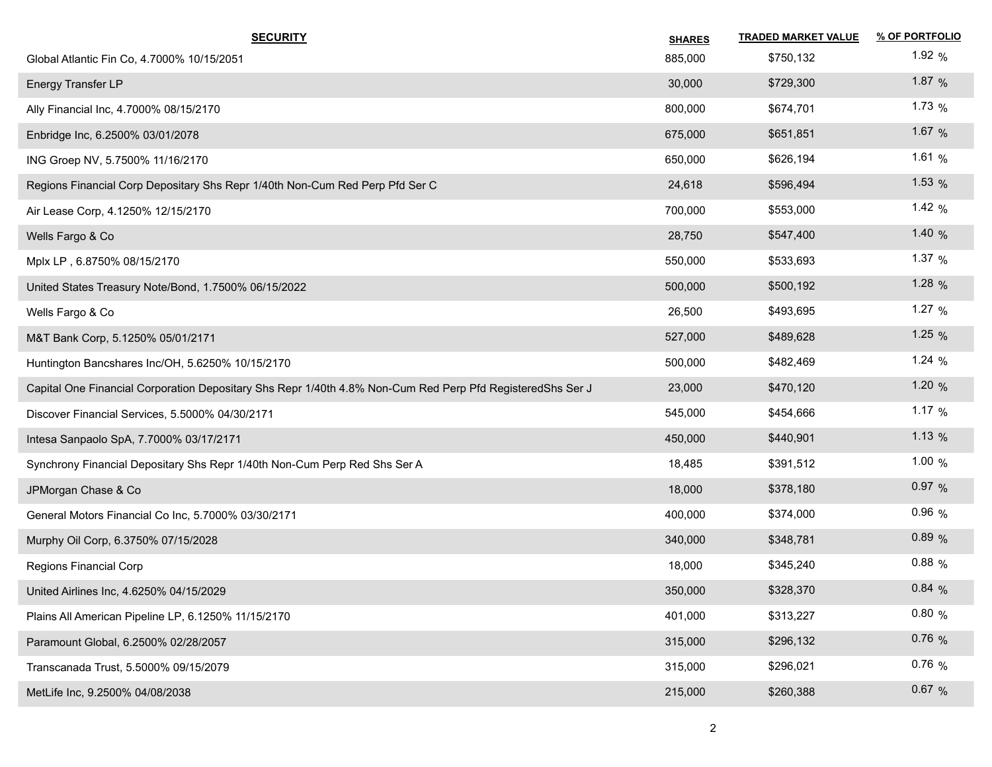| <b>SECURITY</b>                                                                                            | <b>SHARES</b> | <b>TRADED MARKET VALUE</b> | % OF PORTFOLIO |
|------------------------------------------------------------------------------------------------------------|---------------|----------------------------|----------------|
| Global Atlantic Fin Co, 4.7000% 10/15/2051                                                                 | 885,000       | \$750,132                  | 1.92 $%$       |
| Energy Transfer LP                                                                                         | 30,000        | \$729,300                  | 1.87 $%$       |
| Ally Financial Inc, 4.7000% 08/15/2170                                                                     | 800,000       | \$674,701                  | 1.73 $%$       |
| Enbridge Inc, 6.2500% 03/01/2078                                                                           | 675,000       | \$651,851                  | 1.67 $%$       |
| ING Groep NV, 5.7500% 11/16/2170                                                                           | 650,000       | \$626,194                  | 1.61 $%$       |
| Regions Financial Corp Depositary Shs Repr 1/40th Non-Cum Red Perp Pfd Ser C                               | 24,618        | \$596,494                  | 1.53 $%$       |
| Air Lease Corp, 4.1250% 12/15/2170                                                                         | 700,000       | \$553,000                  | 1.42 $%$       |
| Wells Fargo & Co                                                                                           | 28,750        | \$547,400                  | 1.40 $%$       |
| Mplx LP, 6.8750% 08/15/2170                                                                                | 550,000       | \$533,693                  | 1.37 $%$       |
| United States Treasury Note/Bond, 1.7500% 06/15/2022                                                       | 500,000       | \$500,192                  | 1.28 $%$       |
| Wells Fargo & Co                                                                                           | 26,500        | \$493,695                  | 1.27 $%$       |
| M&T Bank Corp, 5.1250% 05/01/2171                                                                          | 527,000       | \$489,628                  | 1.25 $%$       |
| Huntington Bancshares Inc/OH, 5.6250% 10/15/2170                                                           | 500,000       | \$482,469                  | 1.24 $%$       |
| Capital One Financial Corporation Depositary Shs Repr 1/40th 4.8% Non-Cum Red Perp Pfd RegisteredShs Ser J | 23,000        | \$470,120                  | 1.20 $%$       |
| Discover Financial Services, 5.5000% 04/30/2171                                                            | 545,000       | \$454,666                  | 1.17 $%$       |
| Intesa Sanpaolo SpA, 7.7000% 03/17/2171                                                                    | 450,000       | \$440,901                  | 1.13 $%$       |
| Synchrony Financial Depositary Shs Repr 1/40th Non-Cum Perp Red Shs Ser A                                  | 18,485        | \$391,512                  | 1.00 $%$       |
| JPMorgan Chase & Co                                                                                        | 18,000        | \$378,180                  | 0.97%          |
| General Motors Financial Co Inc, 5.7000% 03/30/2171                                                        | 400,000       | \$374,000                  | $0.96\%$       |
| Murphy Oil Corp, 6.3750% 07/15/2028                                                                        | 340,000       | \$348,781                  | 0.89%          |
| Regions Financial Corp                                                                                     | 18,000        | \$345,240                  | $0.88\%$       |
| United Airlines Inc, 4.6250% 04/15/2029                                                                    | 350,000       | \$328,370                  | 0.84%          |
| Plains All American Pipeline LP, 6.1250% 11/15/2170                                                        | 401,000       | \$313,227                  | 0.80%          |
| Paramount Global, 6.2500% 02/28/2057                                                                       | 315,000       | \$296,132                  | 0.76%          |
| Transcanada Trust, 5.5000% 09/15/2079                                                                      | 315,000       | \$296,021                  | 0.76%          |
| MetLife Inc, 9.2500% 04/08/2038                                                                            | 215,000       | \$260,388                  | 0.67 %         |